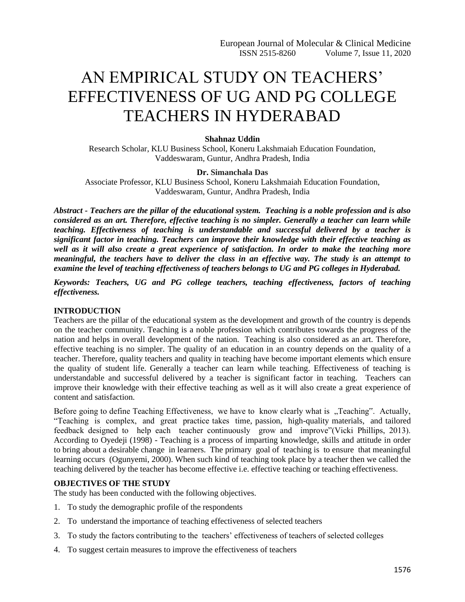# AN EMPIRICAL STUDY ON TEACHERS' EFFECTIVENESS OF UG AND PG COLLEGE TEACHERS IN HYDERABAD

# **Shahnaz Uddin**

Research Scholar, KLU Business School, Koneru Lakshmaiah Education Foundation, Vaddeswaram, Guntur, Andhra Pradesh, India

## **Dr. Simanchala Das**

Associate Professor, KLU Business School, Koneru Lakshmaiah Education Foundation, Vaddeswaram, Guntur, Andhra Pradesh, India

*Abstract - Teachers are the pillar of the educational system. Teaching is a noble profession and is also considered as an art. Therefore, effective teaching is no simpler. Generally a teacher can learn while teaching. Effectiveness of teaching is understandable and successful delivered by a teacher is significant factor in teaching. Teachers can improve their knowledge with their effective teaching as well as it will also create a great experience of satisfaction. In order to make the teaching more meaningful, the teachers have to deliver the class in an effective way. The study is an attempt to examine the level of teaching effectiveness of teachers belongs to UG and PG colleges in Hyderabad.*

*Keywords: Teachers, UG and PG college teachers, teaching effectiveness, factors of teaching effectiveness.*

## **INTRODUCTION**

Teachers are the pillar of the educational system as the development and growth of the country is depends on the teacher community. Teaching is a noble profession which contributes towards the progress of the nation and helps in overall development of the nation. Teaching is also considered as an art. Therefore, effective teaching is no simpler. The quality of an education in an country depends on the quality of a teacher. Therefore, quality teachers and quality in teaching have become important elements which ensure the quality of student life. Generally a teacher can learn while teaching. Effectiveness of teaching is understandable and successful delivered by a teacher is significant factor in teaching. Teachers can improve their knowledge with their effective teaching as well as it will also create a great experience of content and satisfaction.

Before going to define Teaching Effectiveness, we have to know clearly what is "Teaching". Actually, "Teaching is complex, and great practice takes time, passion, high-quality materials, and tailored feedback designed to help each teacher continuously grow and improve"(Vicki Phillips, 2013). According to Oyedeji (1998) - Teaching is a process of imparting knowledge, skills and attitude in order to bring about a desirable change in learners. The primary goal of teaching is to ensure that meaningful learning occurs (Ogunyemi, 2000). When such kind of teaching took place by a teacher then we called the teaching delivered by the teacher has become effective i.e. effective teaching or teaching effectiveness.

# **OBJECTIVES OF THE STUDY**

The study has been conducted with the following objectives.

- 1. To study the demographic profile of the respondents
- 2. To understand the importance of teaching effectiveness of selected teachers
- 3. To study the factors contributing to the teachers' effectiveness of teachers of selected colleges
- 4. To suggest certain measures to improve the effectiveness of teachers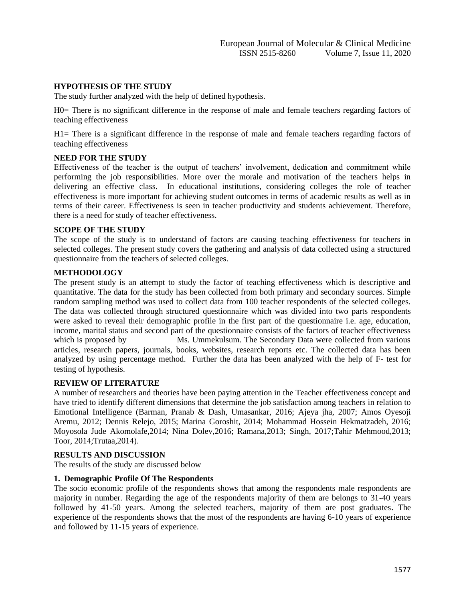# **HYPOTHESIS OF THE STUDY**

The study further analyzed with the help of defined hypothesis.

H0= There is no significant difference in the response of male and female teachers regarding factors of teaching effectiveness

H1= There is a significant difference in the response of male and female teachers regarding factors of teaching effectiveness

# **NEED FOR THE STUDY**

Effectiveness of the teacher is the output of teachers' involvement, dedication and commitment while performing the job responsibilities. More over the morale and motivation of the teachers helps in delivering an effective class. In educational institutions, considering colleges the role of teacher effectiveness is more important for achieving student outcomes in terms of academic results as well as in terms of their career. Effectiveness is seen in teacher productivity and students achievement. Therefore, there is a need for study of teacher effectiveness.

# **SCOPE OF THE STUDY**

The scope of the study is to understand of factors are causing teaching effectiveness for teachers in selected colleges. The present study covers the gathering and analysis of data collected using a structured questionnaire from the teachers of selected colleges.

# **METHODOLOGY**

The present study is an attempt to study the factor of teaching effectiveness which is descriptive and quantitative. The data for the study has been collected from both primary and secondary sources. Simple random sampling method was used to collect data from 100 teacher respondents of the selected colleges. The data was collected through structured questionnaire which was divided into two parts respondents were asked to reveal their demographic profile in the first part of the questionnaire i.e. age, education, income, marital status and second part of the questionnaire consists of the factors of teacher effectiveness which is proposed by Ms. Ummekulsum. The Secondary Data were collected from various articles, research papers, journals, books, websites, research reports etc. The collected data has been analyzed by using percentage method. Further the data has been analyzed with the help of F- test for testing of hypothesis.

# **REVIEW OF LITERATURE**

A number of researchers and theories have been paying attention in the Teacher effectiveness concept and have tried to identify different dimensions that determine the job satisfaction among teachers in relation to Emotional Intelligence (Barman, Pranab & Dash, Umasankar, 2016; Ajeya jha, 2007; Amos Oyesoji Aremu, 2012; Dennis Relejo, 2015; Marina Goroshit, 2014; Mohammad Hossein Hekmatzadeh, 2016; Moyosola Jude Akomolafe,2014; Nina Dolev,2016; Ramana,2013; Singh, 2017;Tahir Mehmood,2013; Toor, 2014;Trutaa,2014).

## **RESULTS AND DISCUSSION**

The results of the study are discussed below

## **1. Demographic Profile Of The Respondents**

The socio economic profile of the respondents shows that among the respondents male respondents are majority in number. Regarding the age of the respondents majority of them are belongs to 31-40 years followed by 41-50 years. Among the selected teachers, majority of them are post graduates. The experience of the respondents shows that the most of the respondents are having 6-10 years of experience and followed by 11-15 years of experience.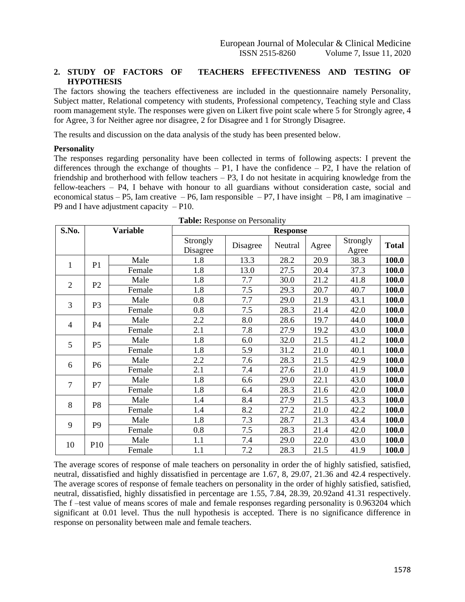# **2. STUDY OF FACTORS OF TEACHERS EFFECTIVENESS AND TESTING OF HYPOTHESIS**

The factors showing the teachers effectiveness are included in the questionnaire namely Personality, Subject matter, Relational competency with students, Professional competency, Teaching style and Class room management style. The responses were given on Likert five point scale where 5 for Strongly agree, 4 for Agree, 3 for Neither agree nor disagree, 2 for Disagree and 1 for Strongly Disagree.

The results and discussion on the data analysis of the study has been presented below.

#### **Personality**

The responses regarding personality have been collected in terms of following aspects: I prevent the differences through the exchange of thoughts – P1, I have the confidence – P2, I have the relation of friendship and brotherhood with fellow teachers – P3, I do not hesitate in acquiring knowledge from the fellow-teachers – P4, I behave with honour to all guardians without consideration caste, social and economical status – P5, Iam creative – P6, Iam responsible – P7, I have insight – P8, I am imaginative – P9 and I have adjustment capacity  $-$  P10.

| S.No.          | <b>Variable</b><br><b>Response</b> |        |                      |          |         |       |                   |              |
|----------------|------------------------------------|--------|----------------------|----------|---------|-------|-------------------|--------------|
|                |                                    |        | Strongly<br>Disagree | Disagree | Neutral | Agree | Strongly<br>Agree | <b>Total</b> |
| $\mathbf{1}$   | P <sub>1</sub>                     | Male   | 1.8                  | 13.3     | 28.2    | 20.9  | 38.3              | 100.0        |
|                |                                    | Female | 1.8                  | 13.0     | 27.5    | 20.4  | 37.3              | 100.0        |
| $\overline{2}$ | P <sub>2</sub>                     | Male   | 1.8                  | 7.7      | 30.0    | 21.2  | 41.8              | 100.0        |
|                |                                    | Female | 1.8                  | 7.5      | 29.3    | 20.7  | 40.7              | 100.0        |
| 3              | P <sub>3</sub>                     | Male   | 0.8                  | 7.7      | 29.0    | 21.9  | 43.1              | 100.0        |
|                |                                    | Female | 0.8                  | 7.5      | 28.3    | 21.4  | 42.0              | 100.0        |
| $\overline{4}$ | P4                                 | Male   | 2.2                  | 8.0      | 28.6    | 19.7  | 44.0              | 100.0        |
|                |                                    | Female | 2.1                  | 7.8      | 27.9    | 19.2  | 43.0              | 100.0        |
| 5              | P <sub>5</sub>                     | Male   | 1.8                  | 6.0      | 32.0    | 21.5  | 41.2              | 100.0        |
|                |                                    | Female | 1.8                  | 5.9      | 31.2    | 21.0  | 40.1              | 100.0        |
|                | P <sub>6</sub>                     | Male   | 2.2                  | 7.6      | 28.3    | 21.5  | 42.9              | 100.0        |
| 6              |                                    | Female | 2.1                  | 7.4      | 27.6    | 21.0  | 41.9              | 100.0        |
| $\tau$         | P7                                 | Male   | 1.8                  | 6.6      | 29.0    | 22.1  | 43.0              | 100.0        |
|                |                                    | Female | 1.8                  | 6.4      | 28.3    | 21.6  | 42.0              | 100.0        |
| 8              | P <sub>8</sub>                     | Male   | 1.4                  | 8.4      | 27.9    | 21.5  | 43.3              | 100.0        |
|                |                                    | Female | 1.4                  | 8.2      | 27.2    | 21.0  | 42.2              | 100.0        |
| 9              | P <sub>9</sub>                     | Male   | 1.8                  | 7.3      | 28.7    | 21.3  | 43.4              | 100.0        |
|                |                                    | Female | 0.8                  | 7.5      | 28.3    | 21.4  | 42.0              | 100.0        |
|                |                                    | Male   | 1.1                  | 7.4      | 29.0    | 22.0  | 43.0              | 100.0        |
| 10             | P <sub>10</sub>                    | Female | 1.1                  | 7.2      | 28.3    | 21.5  | 41.9              | 100.0        |

|  |  | Table: Response on Personality |
|--|--|--------------------------------|
|--|--|--------------------------------|

The average scores of response of male teachers on personality in order the of highly satisfied, satisfied, neutral, dissatisfied and highly dissatisfied in percentage are 1.67, 8, 29.07, 21.36 and 42.4 respectively. The average scores of response of female teachers on personality in the order of highly satisfied, satisfied, neutral, dissatisfied, highly dissatisfied in percentage are 1.55, 7.84, 28.39, 20.92and 41.31 respectively. The f –test value of means scores of male and female responses regarding personality is 0.963204 which significant at 0.01 level. Thus the null hypothesis is accepted. There is no significance difference in response on personality between male and female teachers.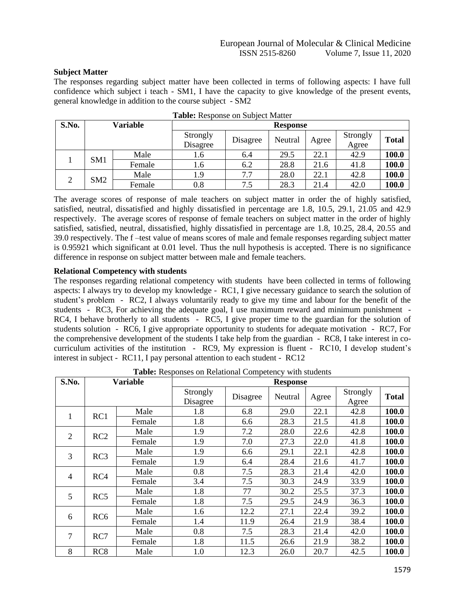# **Subject Matter**

The responses regarding subject matter have been collected in terms of following aspects: I have full confidence which subject i teach - SM1, I have the capacity to give knowledge of the present events, general knowledge in addition to the course subject - SM2

| S.No. |                 | Variable |                      |          | <b>Response</b> |       |                   |              |
|-------|-----------------|----------|----------------------|----------|-----------------|-------|-------------------|--------------|
|       |                 |          | Strongly<br>Disagree | Disagree | Neutral         | Agree | Strongly<br>Agree | <b>Total</b> |
|       | SM <sub>1</sub> | Male     | 1.6                  | 6.4      | 29.5            | 22.1  | 42.9              | 100.0        |
|       |                 | Female   | 1.6                  | 6.2      | 28.8            | 21.6  | 41.8              | 100.0        |
| ◠     |                 | Male     | 1.9                  | 7.7      | 28.0            | 22.1  | 42.8              | 100.0        |
|       | SM2             | Female   | 0.8                  | 7.5      | 28.3            | 21.4  | 42.0              | 100.0        |

**Table:** Response on Subject Matter

The average scores of response of male teachers on subject matter in order the of highly satisfied, satisfied, neutral, dissatisfied and highly dissatisfied in percentage are 1.8, 10.5, 29.1, 21.05 and 42.9 respectively. The average scores of response of female teachers on subject matter in the order of highly satisfied, satisfied, neutral, dissatisfied, highly dissatisfied in percentage are 1.8, 10.25, 28.4, 20.55 and 39.0 respectively. The f –test value of means scores of male and female responses regarding subject matter is 0.95921 which significant at 0.01 level. Thus the null hypothesis is accepted. There is no significance difference in response on subject matter between male and female teachers.

# **Relational Competency with students**

The responses regarding relational competency with students have been collected in terms of following aspects: I always try to develop my knowledge - RC1, I give necessary guidance to search the solution of student's problem - RC2, I always voluntarily ready to give my time and labour for the benefit of the students - RC3, For achieving the adequate goal, I use maximum reward and minimum punishment - RC4, I behave brotherly to all students - RC5, I give proper time to the guardian for the solution of students solution - RC6, I give appropriate opportunity to students for adequate motivation - RC7, For the comprehensive development of the students I take help from the guardian - RC8, I take interest in cocurriculum activities of the institution - RC9, My expression is fluent - RC10, I develop student's interest in subject - RC11, I pay personal attention to each student - RC12

| S.No.          |                 | <b>Variable</b> |                      |          | <b>Response</b> |       |                   |              |
|----------------|-----------------|-----------------|----------------------|----------|-----------------|-------|-------------------|--------------|
|                |                 |                 | Strongly<br>Disagree | Disagree | Neutral         | Agree | Strongly<br>Agree | <b>Total</b> |
| 1              | RC1             | Male            | 1.8                  | 6.8      | 29.0            | 22.1  | 42.8              | 100.0        |
|                |                 | Female          | 1.8                  | 6.6      | 28.3            | 21.5  | 41.8              | 100.0        |
| $\overline{2}$ | RC2             | Male            | 1.9                  | 7.2      | 28.0            | 22.6  | 42.8              | 100.0        |
|                |                 | Female          | 1.9                  | 7.0      | 27.3            | 22.0  | 41.8              | 100.0        |
| 3              | RC3             | Male            | 1.9                  | 6.6      | 29.1            | 22.1  | 42.8              | 100.0        |
|                |                 | Female          | 1.9                  | 6.4      | 28.4            | 21.6  | 41.7              | 100.0        |
| $\overline{4}$ | RC4             | Male            | 0.8                  | 7.5      | 28.3            | 21.4  | 42.0              | 100.0        |
|                |                 | Female          | 3.4                  | 7.5      | 30.3            | 24.9  | 33.9              | 100.0        |
| 5              | RC5             | Male            | 1.8                  | 77       | 30.2            | 25.5  | 37.3              | 100.0        |
|                |                 | Female          | 1.8                  | 7.5      | 29.5            | 24.9  | 36.3              | 100.0        |
|                | RC <sub>6</sub> | Male            | 1.6                  | 12.2     | 27.1            | 22.4  | 39.2              | 100.0        |
| 6              |                 | Female          | 1.4                  | 11.9     | 26.4            | 21.9  | 38.4              | 100.0        |
|                |                 | Male            | 0.8                  | 7.5      | 28.3            | 21.4  | 42.0              | 100.0        |
| $\overline{7}$ | RC7             | Female          | 1.8                  | 11.5     | 26.6            | 21.9  | 38.2              | 100.0        |
| 8              | RC <sub>8</sub> | Male            | 1.0                  | 12.3     | 26.0            | 20.7  | 42.5              | 100.0        |

**Table:** Responses on Relational Competency with students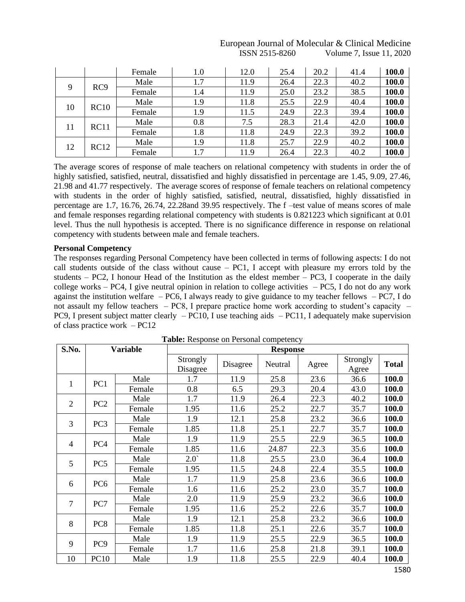|    |                  | Female | 1.0     | 12.0 | 25.4 | 20.2 | 41.4 | 100.0 |
|----|------------------|--------|---------|------|------|------|------|-------|
|    | RC <sub>9</sub>  | Male   | 1.7     | 11.9 | 26.4 | 22.3 | 40.2 | 100.0 |
| 9  |                  | Female | 1.4     | 11.9 | 25.0 | 23.2 | 38.5 | 100.0 |
|    |                  | Male   | 1.9     | 11.8 | 25.5 | 22.9 | 40.4 | 100.0 |
| 10 | RC10             | Female | 1.9     | 11.5 | 24.9 | 22.3 | 39.4 | 100.0 |
|    |                  | Male   | $0.8\,$ | 7.5  | 28.3 | 21.4 | 42.0 | 100.0 |
| 11 | RC <sub>11</sub> | Female | 1.8     | 11.8 | 24.9 | 22.3 | 39.2 | 100.0 |
|    |                  | Male   | 1.9     | 11.8 | 25.7 | 22.9 | 40.2 | 100.0 |
| 12 | RC12             | Female | 1.7     | 11.9 | 26.4 | 22.3 | 40.2 | 100.0 |

# European Journal of Molecular & Clinical Medicine ISSN 2515-8260 Volume 7, Issue 11, 2020

The average scores of response of male teachers on relational competency with students in order the of highly satisfied, satisfied, neutral, dissatisfied and highly dissatisfied in percentage are 1.45, 9.09, 27.46, 21.98 and 41.77 respectively. The average scores of response of female teachers on relational competency with students in the order of highly satisfied, satisfied, neutral, dissatisfied, highly dissatisfied in percentage are 1.7, 16.76, 26.74, 22.28and 39.95 respectively. The f –test value of means scores of male and female responses regarding relational competency with students is 0.821223 which significant at 0.01 level. Thus the null hypothesis is accepted. There is no significance difference in response on relational competency with students between male and female teachers.

# **Personal Competency**

The responses regarding Personal Competency have been collected in terms of following aspects: I do not call students outside of the class without cause – PC1, I accept with pleasure my errors told by the students –  $PC2$ , I honour Head of the Institution as the eldest member –  $PC3$ , I cooperate in the daily college works – PC4, I give neutral opinion in relation to college activities – PC5, I do not do any work against the institution welfare – PC6, I always ready to give guidance to my teacher fellows – PC7, I do not assault my fellow teachers – PC8, I prepare practice home work according to student's capacity – PC9, I present subject matter clearly  $-$  PC10, I use teaching aids  $-$  PC11, I adequately make supervision of class practice work – PC12

| S.No.          |                 | <b>Variable</b> | <b>rapic:</b> Response on Fersonal competency |          | <b>Response</b> |       |                   |              |
|----------------|-----------------|-----------------|-----------------------------------------------|----------|-----------------|-------|-------------------|--------------|
|                |                 |                 | Strongly<br>Disagree                          | Disagree | Neutral         | Agree | Strongly<br>Agree | <b>Total</b> |
| 1              | PC <sub>1</sub> | Male            | 1.7                                           | 11.9     | 25.8            | 23.6  | 36.6              | 100.0        |
|                |                 | Female          | 0.8                                           | 6.5      | 29.3            | 20.4  | 43.0              | 100.0        |
| $\overline{2}$ | PC <sub>2</sub> | Male            | 1.7                                           | 11.9     | 26.4            | 22.3  | 40.2              | 100.0        |
|                |                 | Female          | 1.95                                          | 11.6     | 25.2            | 22.7  | 35.7              | 100.0        |
| 3              | PC <sub>3</sub> | Male            | 1.9                                           | 12.1     | 25.8            | 23.2  | 36.6              | 100.0        |
|                |                 | Female          | 1.85                                          | 11.8     | 25.1            | 22.7  | 35.7              | 100.0        |
|                | PC <sub>4</sub> | Male            | 1.9                                           | 11.9     | 25.5            | 22.9  | 36.5              | 100.0        |
| 4              |                 | Female          | 1.85                                          | 11.6     | 24.87           | 22.3  | 35.6              | 100.0        |
| 5              | PC <sub>5</sub> | Male            | 2.0                                           | 11.8     | 25.5            | 23.0  | 36.4              | 100.0        |
|                |                 | Female          | 1.95                                          | 11.5     | 24.8            | 22.4  | 35.5              | 100.0        |
| 6              | PC <sub>6</sub> | Male            | 1.7                                           | 11.9     | 25.8            | 23.6  | 36.6              | 100.0        |
|                |                 | Female          | 1.6                                           | 11.6     | 25.2            | 23.0  | 35.7              | 100.0        |
| $\tau$         | PC7             | Male            | 2.0                                           | 11.9     | 25.9            | 23.2  | 36.6              | 100.0        |
|                |                 | Female          | 1.95                                          | 11.6     | 25.2            | 22.6  | 35.7              | 100.0        |
| 8              | PC <sub>8</sub> | Male            | 1.9                                           | 12.1     | 25.8            | 23.2  | 36.6              | 100.0        |
|                |                 | Female          | 1.85                                          | 11.8     | 25.1            | 22.6  | 35.7              | 100.0        |
| 9              |                 | Male            | 1.9                                           | 11.9     | 25.5            | 22.9  | 36.5              | 100.0        |
|                | PC <sub>9</sub> | Female          | 1.7                                           | 11.6     | 25.8            | 21.8  | 39.1              | 100.0        |
| 10             | <b>PC10</b>     | Male            | 1.9                                           | 11.8     | 25.5            | 22.9  | 40.4              | 100.0        |

**Table:** Response on Personal competency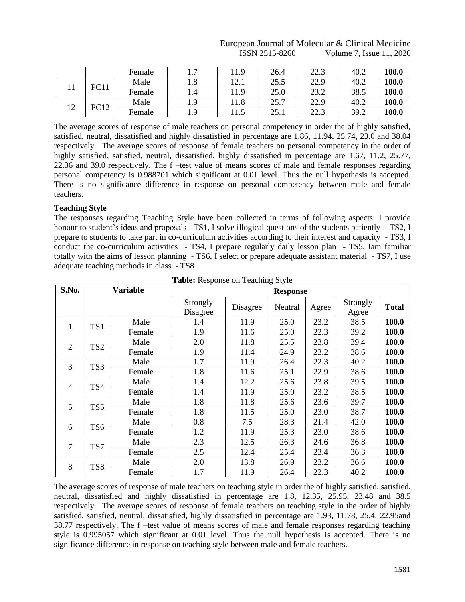# European Journal of Molecular & Clinical Medicine ISSN 2515-8260 Volume 7, Issue 11, 2020

|     |             | Female |              | .1.9      | 26.4 | 22.3 | 40.2 | 100.0        |
|-----|-------------|--------|--------------|-----------|------|------|------|--------------|
|     | <b>PC11</b> | Male   | 1.8          | ∩<br>14.I | 25.5 | 22.9 | 40.2 | 100.0        |
| 1 T |             | Female | 1.4          | 11.9      | 25.0 | 23.2 | 38.5 | 100.0        |
|     |             | Male   | $\mathbf{o}$ | 11.8      | 25.7 | 22.9 | 40.2 | 100.0        |
| 12  | PC12        | Female | 1.9          | 11.5      | 25.1 | 22.3 | 39.2 | <b>100.0</b> |

The average scores of response of male teachers on personal competency in order the of highly satisfied, satisfied, neutral, dissatisfied and highly dissatisfied in percentage are 1.86, 11.94, 25.74, 23.0 and 38.04 respectively. The average scores of response of female teachers on personal competency in the order of highly satisfied, satisfied, neutral, dissatisfied, highly dissatisfied in percentage are 1.67, 11.2, 25.77, 22.36 and 39.0 respectively. The f –test value of means scores of male and female responses regarding personal competency is 0.988701 which significant at 0.01 level. Thus the null hypothesis is accepted. There is no significance difference in response on personal competency between male and female teachers.

# **Teaching Style**

The responses regarding Teaching Style have been collected in terms of following aspects: I provide honour to student's ideas and proposals - TS1, I solve illogical questions of the students patiently - TS2, I prepare to students to take part in co-curriculum activities according to their interest and capacity - TS3, I conduct the co-curriculum activities - TS4, I prepare regularly daily lesson plan - TS5, Iam familiar totally with the aims of lesson planning - TS6, I select or prepare adequate assistant material - TS7, I use adequate teaching methods in class - TS8

| S.No.          |                 | <b>Variable</b> |                      |          | <b>Response</b> |       |                   |              |
|----------------|-----------------|-----------------|----------------------|----------|-----------------|-------|-------------------|--------------|
|                |                 |                 | Strongly<br>Disagree | Disagree | Neutral         | Agree | Strongly<br>Agree | <b>Total</b> |
| 1              | TS <sub>1</sub> | Male            | 1.4                  | 11.9     | 25.0            | 23.2  | 38.5              | 100.0        |
|                |                 | Female          | 1.9                  | 11.6     | 25.0            | 22.3  | 39.2              | 100.0        |
| $\overline{2}$ | TS <sub>2</sub> | Male            | 2.0                  | 11.8     | 25.5            | 23.8  | 39.4              | 100.0        |
|                |                 | Female          | 1.9                  | 11.4     | 24.9            | 23.2  | 38.6              | 100.0        |
| 3              | TS3             | Male            | 1.7                  | 11.9     | 26.4            | 22.3  | 40.2              | 100.0        |
|                |                 | Female          | 1.8                  | 11.6     | 25.1            | 22.9  | 38.6              | 100.0        |
| $\overline{4}$ | TS4             | Male            | 1.4                  | 12.2     | 25.6            | 23.8  | 39.5              | 100.0        |
|                |                 | Female          | 1.4                  | 11.9     | 25.0            | 23.2  | 38.5              | 100.0        |
| 5              | TS5             | Male            | 1.8                  | 11.8     | 25.6            | 23.6  | 39.7              | 100.0        |
|                |                 | Female          | 1.8                  | 11.5     | 25.0            | 23.0  | 38.7              | 100.0        |
|                |                 | Male            | 0.8                  | 7.5      | 28.3            | 21.4  | 42.0              | 100.0        |
| 6              | TS6             | Female          | 1.2                  | 11.9     | 25.3            | 23.0  | 38.6              | 100.0        |
| $\overline{7}$ | TS7             | Male            | 2.3                  | 12.5     | 26.3            | 24.6  | 36.8              | 100.0        |
|                |                 | Female          | 2.5                  | 12.4     | 25.4            | 23.4  | 36.3              | 100.0        |
| 8              |                 | Male            | 2.0                  | 13.8     | 26.9            | 23.2  | 36.6              | 100.0        |
|                | TS8             | Female          | 1.7                  | 11.9     | 26.4            | 22.3  | 40.2              | 100.0        |

**Table:** Response on Teaching Style

The average scores of response of male teachers on teaching style in order the of highly satisfied, satisfied, neutral, dissatisfied and highly dissatisfied in percentage are 1.8, 12.35, 25.95, 23.48 and 38.5 respectively. The average scores of response of female teachers on teaching style in the order of highly satisfied, satisfied, neutral, dissatisfied, highly dissatisfied in percentage are 1.93, 11.78, 25.4, 22.95and 38.77 respectively. The f –test value of means scores of male and female responses regarding teaching style is 0.995057 which significant at 0.01 level. Thus the null hypothesis is accepted. There is no significance difference in response on teaching style between male and female teachers.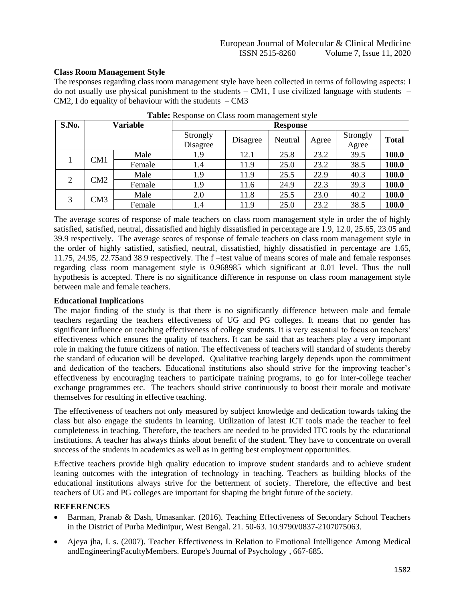# **Class Room Management Style**

The responses regarding class room management style have been collected in terms of following aspects: I do not usually use physical punishment to the students  $-$  CM1, I use civilized language with students  $-$ CM2, I do equality of behaviour with the students  $-CM3$ 

| S.No.          | <b>Variable</b> |        |                      |          | <b>Response</b> |       |                   |              |
|----------------|-----------------|--------|----------------------|----------|-----------------|-------|-------------------|--------------|
|                |                 |        | Strongly<br>Disagree | Disagree | Neutral         | Agree | Strongly<br>Agree | <b>Total</b> |
|                | CM1             | Male   | 1.9                  | 12.1     | 25.8            | 23.2  | 39.5              | 100.0        |
|                |                 | Female | 1.4                  | 11.9     | 25.0            | 23.2  | 38.5              | 100.0        |
| $\overline{2}$ | CM2             | Male   | 1.9                  | 11.9     | 25.5            | 22.9  | 40.3              | 100.0        |
|                |                 | Female | 1.9                  | 11.6     | 24.9            | 22.3  | 39.3              | 100.0        |
|                |                 | Male   | 2.0                  | 11.8     | 25.5            | 23.0  | 40.2              | 100.0        |
| 3              | CM3             | Female | 1.4                  | 11.9     | 25.0            | 23.2  | 38.5              | 100.0        |

**Table:** Response on Class room management style

The average scores of response of male teachers on class room management style in order the of highly satisfied, satisfied, neutral, dissatisfied and highly dissatisfied in percentage are 1.9, 12.0, 25.65, 23.05 and 39.9 respectively. The average scores of response of female teachers on class room management style in the order of highly satisfied, satisfied, neutral, dissatisfied, highly dissatisfied in percentage are 1.65, 11.75, 24.95, 22.75and 38.9 respectively. The f –test value of means scores of male and female responses regarding class room management style is 0.968985 which significant at 0.01 level. Thus the null hypothesis is accepted. There is no significance difference in response on class room management style between male and female teachers.

# **Educational Implications**

The major finding of the study is that there is no significantly difference between male and female teachers regarding the teachers effectiveness of UG and PG colleges. It means that no gender has significant influence on teaching effectiveness of college students. It is very essential to focus on teachers' effectiveness which ensures the quality of teachers. It can be said that as teachers play a very important role in making the future citizens of nation. The effectiveness of teachers will standard of students thereby the standard of education will be developed. Qualitative teaching largely depends upon the commitment and dedication of the teachers. Educational institutions also should strive for the improving teacher's effectiveness by encouraging teachers to participate training programs, to go for inter-college teacher exchange programmes etc. The teachers should strive continuously to boost their morale and motivate themselves for resulting in effective teaching.

The effectiveness of teachers not only measured by subject knowledge and dedication towards taking the class but also engage the students in learning. Utilization of latest ICT tools made the teacher to feel completeness in teaching. Therefore, the teachers are needed to be provided ITC tools by the educational institutions. A teacher has always thinks about benefit of the student. They have to concentrate on overall success of the students in academics as well as in getting best employment opportunities.

Effective teachers provide high quality education to improve student standards and to achieve student leaning outcomes with the integration of technology in teaching. Teachers as building blocks of the educational institutions always strive for the betterment of society. Therefore, the effective and best teachers of UG and PG colleges are important for shaping the bright future of the society.

## **REFERENCES**

- Barman, Pranab & Dash, Umasankar. (2016). Teaching Effectiveness of Secondary School Teachers in the District of Purba Medinipur, West Bengal. 21. 50-63. 10.9790/0837-2107075063.
- Ajeya jha, I. s. (2007). Teacher Effectiveness in Relation to Emotional Intelligence Among Medical andEngineeringFacultyMembers. Europe's Journal of Psychology , 667-685.